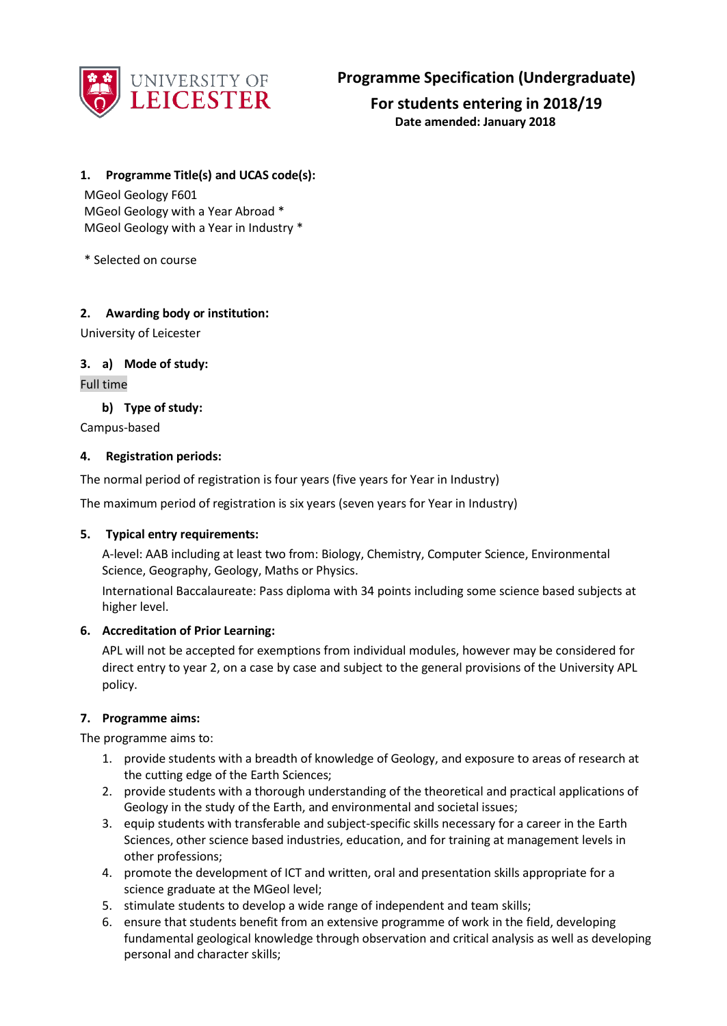

**For students entering in 2018/19 Date amended: January 2018**

## **1. Programme Title(s) and UCAS code(s):**

MGeol Geology F601 MGeol Geology with a Year Abroad \* MGeol Geology with a Year in Industry \*

\* Selected on course

## **2. Awarding body or institution:**

University of Leicester

## **3. a) Mode of study:**

Full time

**b) Type of study:**

Campus-based

## **4. Registration periods:**

The normal period of registration is four years (five years for Year in Industry)

The maximum period of registration is six years (seven years for Year in Industry)

## **5. Typical entry requirements:**

A-level: AAB including at least two from: Biology, Chemistry, Computer Science, Environmental Science, Geography, Geology, Maths or Physics.

International Baccalaureate: Pass diploma with 34 points including some science based subjects at higher level.

## **6. Accreditation of Prior Learning:**

APL will not be accepted for exemptions from individual modules, however may be considered for direct entry to year 2, on a case by case and subject to the general provisions of the University APL policy.

## **7. Programme aims:**

The programme aims to:

- 1. provide students with a breadth of knowledge of Geology, and exposure to areas of research at the cutting edge of the Earth Sciences;
- 2. provide students with a thorough understanding of the theoretical and practical applications of Geology in the study of the Earth, and environmental and societal issues;
- 3. equip students with transferable and subject-specific skills necessary for a career in the Earth Sciences, other science based industries, education, and for training at management levels in other professions;
- 4. promote the development of ICT and written, oral and presentation skills appropriate for a science graduate at the MGeol level;
- 5. stimulate students to develop a wide range of independent and team skills;
- 6. ensure that students benefit from an extensive programme of work in the field, developing fundamental geological knowledge through observation and critical analysis as well as developing personal and character skills;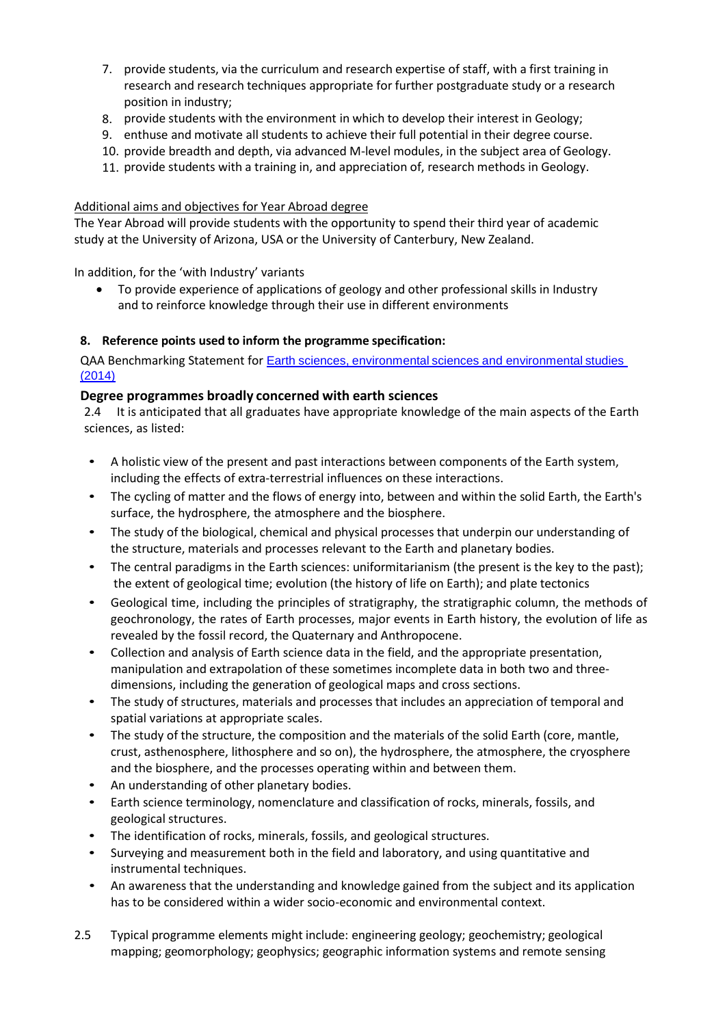- 7. provide students, via the curriculum and research expertise of staff, with a first training in research and research techniques appropriate for further postgraduate study or a research position in industry;
- 8. provide students with the environment in which to develop their interest in Geology;
- 9. enthuse and motivate all students to achieve their full potential in their degree course.
- 10. provide breadth and depth, via advanced M-level modules, in the subject area of Geology.
- 11. provide students with a training in, and appreciation of, research methods in Geology.

### Additional aims and objectives for Year Abroad degree

The Year Abroad will provide students with the opportunity to spend their third year of academic study at the University of Arizona, USA or the University of Canterbury, New Zealand.

In addition, for the 'with Industry' variants

 To provide experience of applications of geology and other professional skills in Industry and to reinforce knowledge through their use in different environments

## **8. Reference points used to inform the programme specification:**

QAA Benchmarking Statement for **Earth sciences**, [environmental](http://www.qaa.ac.uk/en/Publications/Documents/SBS-earth-sciences-14.pdf) sciences and environmental studies  $(2014)$ 

## **Degree programmes broadly concerned with earth sciences**

2.4 It is anticipated that all graduates have appropriate knowledge of the main aspects of the Earth sciences, as listed:

- A holistic view of the present and past interactions between components of the Earth system, including the effects of extra-terrestrial influences on these interactions.
- The cycling of matter and the flows of energy into, between and within the solid Earth, the Earth's surface, the hydrosphere, the atmosphere and the biosphere.
- The study of the biological, chemical and physical processes that underpin our understanding of the structure, materials and processes relevant to the Earth and planetary bodies.
- The central paradigms in the Earth sciences: uniformitarianism (the present is the key to the past); the extent of geological time; evolution (the history of life on Earth); and plate tectonics
- Geological time, including the principles of stratigraphy, the stratigraphic column, the methods of geochronology, the rates of Earth processes, major events in Earth history, the evolution of life as revealed by the fossil record, the Quaternary and Anthropocene.
- Collection and analysis of Earth science data in the field, and the appropriate presentation, manipulation and extrapolation of these sometimes incomplete data in both two and threedimensions, including the generation of geological maps and cross sections.
- The study of structures, materials and processes that includes an appreciation of temporal and spatial variations at appropriate scales.
- The study of the structure, the composition and the materials of the solid Earth (core, mantle, crust, asthenosphere, lithosphere and so on), the hydrosphere, the atmosphere, the cryosphere and the biosphere, and the processes operating within and between them.
- An understanding of other planetary bodies.
- Earth science terminology, nomenclature and classification of rocks, minerals, fossils, and geological structures.
- The identification of rocks, minerals, fossils, and geological structures.
- Surveying and measurement both in the field and laboratory, and using quantitative and instrumental techniques.
- An awareness that the understanding and knowledge gained from the subject and its application has to be considered within a wider socio-economic and environmental context.
- 2.5 Typical programme elements might include: engineering geology; geochemistry; geological mapping; geomorphology; geophysics; geographic information systems and remote sensing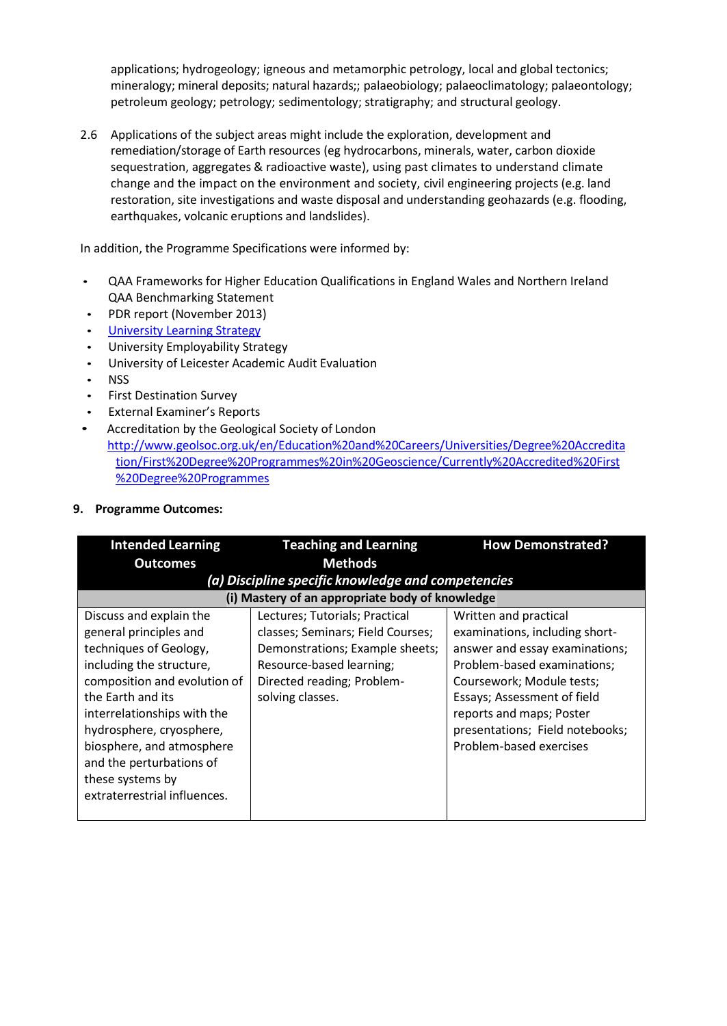applications; hydrogeology; igneous and metamorphic petrology, local and global tectonics; mineralogy; mineral deposits; natural hazards;; palaeobiology; palaeoclimatology; palaeontology; petroleum geology; petrology; sedimentology; stratigraphy; and structural geology.

2.6 Applications of the subject areas might include the exploration, development and remediation/storage of Earth resources (eg hydrocarbons, minerals, water, carbon dioxide sequestration, aggregates & radioactive waste), using past climates to understand climate change and the impact on the environment and society, civil engineering projects (e.g. land restoration, site investigations and waste disposal and understanding geohazards (e.g. flooding, earthquakes, volcanic eruptions and landslides).

In addition, the Programme Specifications were informed by:

- QAA Frameworks for Higher Education Qualifications in England Wales and Northern Ireland QAA Benchmarking Statement
- PDR report (November 2013)
- University [Learning Strategy](http://www2.le.ac.uk/offices/sas2/quality/learnteach)
- University Employability Strategy
- University of Leicester Academic Audit Evaluation
- NSS
- First Destination Survey
- External Examiner's Reports
- Accreditation by the Geological Society of London
	- [http://www.geolsoc.org.uk/en/Education%20and%20Careers/Universities/Degree%20Accredita](http://www.geolsoc.org.uk/en/Education%20and%20Careers/Universities/Degree%20Accreditation/First%20Degree%20Programmes%20in%20Geoscience/Currently%20Accredited%20First%20Degree%20Programmes) [tion/First%20Degree%20Programmes%20in%20Geoscience/Currently%20Accredited%20First](http://www.geolsoc.org.uk/en/Education%20and%20Careers/Universities/Degree%20Accreditation/First%20Degree%20Programmes%20in%20Geoscience/Currently%20Accredited%20First%20Degree%20Programmes) [%20Degree%20Programmes](http://www.geolsoc.org.uk/en/Education%20and%20Careers/Universities/Degree%20Accreditation/First%20Degree%20Programmes%20in%20Geoscience/Currently%20Accredited%20First%20Degree%20Programmes)

#### **9. Programme Outcomes:**

| <b>Intended Learning</b>     | <b>Teaching and Learning</b>                       | <b>How Demonstrated?</b>        |
|------------------------------|----------------------------------------------------|---------------------------------|
| <b>Outcomes</b>              | <b>Methods</b>                                     |                                 |
|                              | (a) Discipline specific knowledge and competencies |                                 |
|                              | (i) Mastery of an appropriate body of knowledge    |                                 |
| Discuss and explain the      | Lectures; Tutorials; Practical                     | Written and practical           |
| general principles and       | classes; Seminars; Field Courses;                  | examinations, including short-  |
| techniques of Geology,       | Demonstrations; Example sheets;                    | answer and essay examinations;  |
| including the structure,     | Resource-based learning;                           | Problem-based examinations;     |
| composition and evolution of | Directed reading; Problem-                         | Coursework; Module tests;       |
| the Earth and its            | solving classes.                                   | Essays; Assessment of field     |
| interrelationships with the  |                                                    | reports and maps; Poster        |
| hydrosphere, cryosphere,     |                                                    | presentations; Field notebooks; |
| biosphere, and atmosphere    |                                                    | Problem-based exercises         |
| and the perturbations of     |                                                    |                                 |
| these systems by             |                                                    |                                 |
| extraterrestrial influences. |                                                    |                                 |
|                              |                                                    |                                 |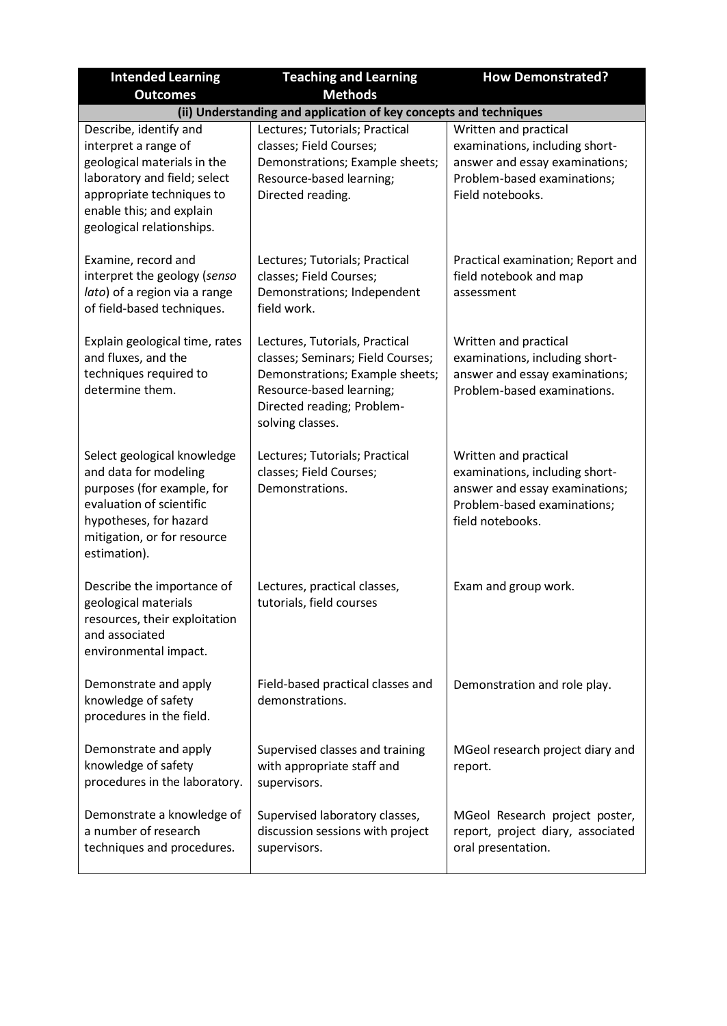| <b>Intended Learning</b>                                                                                                                                                                            | <b>Teaching and Learning</b>                                                                                                                                                         | <b>How Demonstrated?</b>                                                                                                                     |
|-----------------------------------------------------------------------------------------------------------------------------------------------------------------------------------------------------|--------------------------------------------------------------------------------------------------------------------------------------------------------------------------------------|----------------------------------------------------------------------------------------------------------------------------------------------|
| <b>Outcomes</b>                                                                                                                                                                                     | <b>Methods</b>                                                                                                                                                                       |                                                                                                                                              |
| (ii) Understanding and application of key concepts and techniques                                                                                                                                   |                                                                                                                                                                                      |                                                                                                                                              |
| Describe, identify and<br>interpret a range of<br>geological materials in the<br>laboratory and field; select<br>appropriate techniques to<br>enable this; and explain<br>geological relationships. | Lectures; Tutorials; Practical<br>classes; Field Courses;<br>Demonstrations; Example sheets;<br>Resource-based learning;<br>Directed reading.                                        | Written and practical<br>examinations, including short-<br>answer and essay examinations;<br>Problem-based examinations;<br>Field notebooks. |
| Examine, record and<br>interpret the geology (senso<br>lato) of a region via a range<br>of field-based techniques.                                                                                  | Lectures; Tutorials; Practical<br>classes; Field Courses;<br>Demonstrations; Independent<br>field work.                                                                              | Practical examination; Report and<br>field notebook and map<br>assessment                                                                    |
| Explain geological time, rates<br>and fluxes, and the<br>techniques required to<br>determine them.                                                                                                  | Lectures, Tutorials, Practical<br>classes; Seminars; Field Courses;<br>Demonstrations; Example sheets;<br>Resource-based learning;<br>Directed reading; Problem-<br>solving classes. | Written and practical<br>examinations, including short-<br>answer and essay examinations;<br>Problem-based examinations.                     |
| Select geological knowledge<br>and data for modeling<br>purposes (for example, for<br>evaluation of scientific<br>hypotheses, for hazard<br>mitigation, or for resource<br>estimation).             | Lectures; Tutorials; Practical<br>classes; Field Courses;<br>Demonstrations.                                                                                                         | Written and practical<br>examinations, including short-<br>answer and essay examinations;<br>Problem-based examinations;<br>field notebooks. |
| Describe the importance of<br>geological materials<br>resources, their exploitation<br>and associated<br>environmental impact.                                                                      | Lectures, practical classes,<br>tutorials, field courses                                                                                                                             | Exam and group work.                                                                                                                         |
| Demonstrate and apply<br>knowledge of safety<br>procedures in the field.                                                                                                                            | Field-based practical classes and<br>demonstrations.                                                                                                                                 | Demonstration and role play.                                                                                                                 |
| Demonstrate and apply<br>knowledge of safety<br>procedures in the laboratory.                                                                                                                       | Supervised classes and training<br>with appropriate staff and<br>supervisors.                                                                                                        | MGeol research project diary and<br>report.                                                                                                  |
| Demonstrate a knowledge of<br>a number of research<br>techniques and procedures.                                                                                                                    | Supervised laboratory classes,<br>discussion sessions with project<br>supervisors.                                                                                                   | MGeol Research project poster,<br>report, project diary, associated<br>oral presentation.                                                    |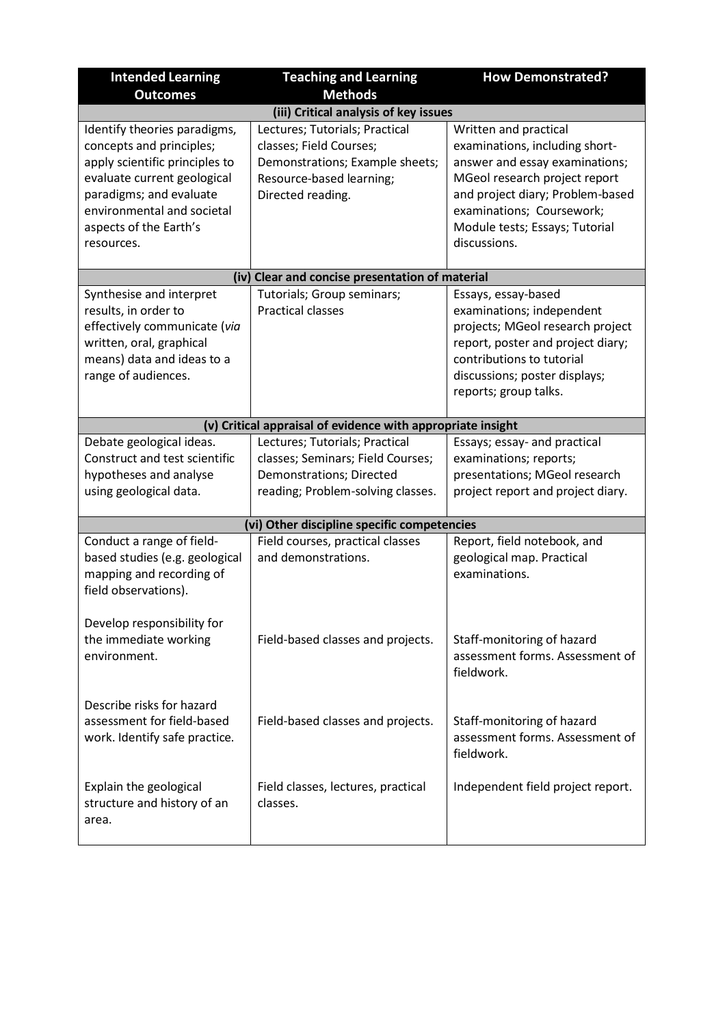| <b>Intended Learning</b><br><b>Outcomes</b>                                                                                                                                                                                | <b>Teaching and Learning</b><br><b>Methods</b>                                                                                                | <b>How Demonstrated?</b>                                                                                                                                                                                                                      |
|----------------------------------------------------------------------------------------------------------------------------------------------------------------------------------------------------------------------------|-----------------------------------------------------------------------------------------------------------------------------------------------|-----------------------------------------------------------------------------------------------------------------------------------------------------------------------------------------------------------------------------------------------|
|                                                                                                                                                                                                                            | (iii) Critical analysis of key issues                                                                                                         |                                                                                                                                                                                                                                               |
| Identify theories paradigms,<br>concepts and principles;<br>apply scientific principles to<br>evaluate current geological<br>paradigms; and evaluate<br>environmental and societal<br>aspects of the Earth's<br>resources. | Lectures; Tutorials; Practical<br>classes; Field Courses;<br>Demonstrations; Example sheets;<br>Resource-based learning;<br>Directed reading. | Written and practical<br>examinations, including short-<br>answer and essay examinations;<br>MGeol research project report<br>and project diary; Problem-based<br>examinations; Coursework;<br>Module tests; Essays; Tutorial<br>discussions. |
|                                                                                                                                                                                                                            | (iv) Clear and concise presentation of material                                                                                               |                                                                                                                                                                                                                                               |
| Synthesise and interpret<br>results, in order to<br>effectively communicate (via<br>written, oral, graphical<br>means) data and ideas to a<br>range of audiences.                                                          | Tutorials; Group seminars;<br><b>Practical classes</b>                                                                                        | Essays, essay-based<br>examinations; independent<br>projects; MGeol research project<br>report, poster and project diary;<br>contributions to tutorial<br>discussions; poster displays;<br>reports; group talks.                              |
|                                                                                                                                                                                                                            | (v) Critical appraisal of evidence with appropriate insight                                                                                   |                                                                                                                                                                                                                                               |
| Debate geological ideas.<br>Construct and test scientific<br>hypotheses and analyse<br>using geological data.                                                                                                              | Lectures; Tutorials; Practical<br>classes; Seminars; Field Courses;<br>Demonstrations; Directed<br>reading; Problem-solving classes.          | Essays; essay- and practical<br>examinations; reports;<br>presentations; MGeol research<br>project report and project diary.                                                                                                                  |
|                                                                                                                                                                                                                            | (vi) Other discipline specific competencies                                                                                                   |                                                                                                                                                                                                                                               |
| Conduct a range of field-<br>based studies (e.g. geological<br>mapping and recording of<br>field observations).                                                                                                            | Field courses, practical classes<br>and demonstrations.                                                                                       | Report, field notebook, and<br>geological map. Practical<br>examinations.                                                                                                                                                                     |
| Develop responsibility for<br>the immediate working<br>environment.                                                                                                                                                        | Field-based classes and projects.                                                                                                             | Staff-monitoring of hazard<br>assessment forms. Assessment of<br>fieldwork.                                                                                                                                                                   |
| Describe risks for hazard<br>assessment for field-based<br>work. Identify safe practice.                                                                                                                                   | Field-based classes and projects.                                                                                                             | Staff-monitoring of hazard<br>assessment forms. Assessment of<br>fieldwork.                                                                                                                                                                   |
| Explain the geological<br>structure and history of an<br>area.                                                                                                                                                             | Field classes, lectures, practical<br>classes.                                                                                                | Independent field project report.                                                                                                                                                                                                             |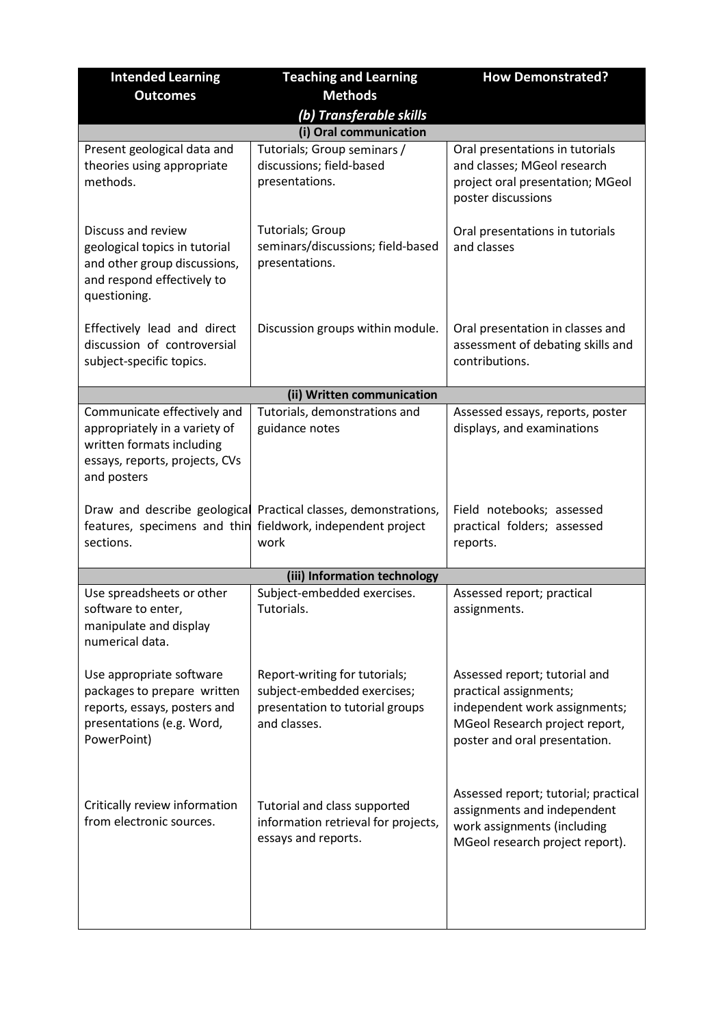| <b>Intended Learning</b>                                                                                                                   | <b>Teaching and Learning</b>                                                                                    | <b>How Demonstrated?</b>                                                                                                                                    |
|--------------------------------------------------------------------------------------------------------------------------------------------|-----------------------------------------------------------------------------------------------------------------|-------------------------------------------------------------------------------------------------------------------------------------------------------------|
| <b>Outcomes</b>                                                                                                                            | <b>Methods</b>                                                                                                  |                                                                                                                                                             |
|                                                                                                                                            | (b) Transferable skills                                                                                         |                                                                                                                                                             |
|                                                                                                                                            | (i) Oral communication                                                                                          |                                                                                                                                                             |
| Present geological data and<br>theories using appropriate<br>methods.                                                                      | Tutorials; Group seminars /<br>discussions; field-based<br>presentations.                                       | Oral presentations in tutorials<br>and classes; MGeol research<br>project oral presentation; MGeol<br>poster discussions                                    |
| Discuss and review<br>geological topics in tutorial<br>and other group discussions,<br>and respond effectively to<br>questioning.          | Tutorials; Group<br>seminars/discussions; field-based<br>presentations.                                         | Oral presentations in tutorials<br>and classes                                                                                                              |
| Effectively lead and direct<br>discussion of controversial<br>subject-specific topics.                                                     | Discussion groups within module.                                                                                | Oral presentation in classes and<br>assessment of debating skills and<br>contributions.                                                                     |
|                                                                                                                                            | (ii) Written communication                                                                                      |                                                                                                                                                             |
| Communicate effectively and<br>appropriately in a variety of<br>written formats including<br>essays, reports, projects, CVs<br>and posters | Tutorials, demonstrations and<br>guidance notes                                                                 | Assessed essays, reports, poster<br>displays, and examinations                                                                                              |
| Draw and describe geological<br>features, specimens and thin<br>sections.                                                                  | Practical classes, demonstrations,<br>fieldwork, independent project<br>work                                    | Field notebooks; assessed<br>practical folders; assessed<br>reports.                                                                                        |
|                                                                                                                                            | (iii) Information technology                                                                                    |                                                                                                                                                             |
| Use spreadsheets or other<br>software to enter,<br>manipulate and display<br>numerical data.                                               | Subject-embedded exercises.<br>Tutorials.                                                                       | Assessed report; practical<br>assignments.                                                                                                                  |
| Use appropriate software<br>packages to prepare written<br>reports, essays, posters and<br>presentations (e.g. Word,<br>PowerPoint)        | Report-writing for tutorials;<br>subject-embedded exercises;<br>presentation to tutorial groups<br>and classes. | Assessed report; tutorial and<br>practical assignments;<br>independent work assignments;<br>MGeol Research project report,<br>poster and oral presentation. |
| Critically review information<br>from electronic sources.                                                                                  | Tutorial and class supported<br>information retrieval for projects,<br>essays and reports.                      | Assessed report; tutorial; practical<br>assignments and independent<br>work assignments (including<br>MGeol research project report).                       |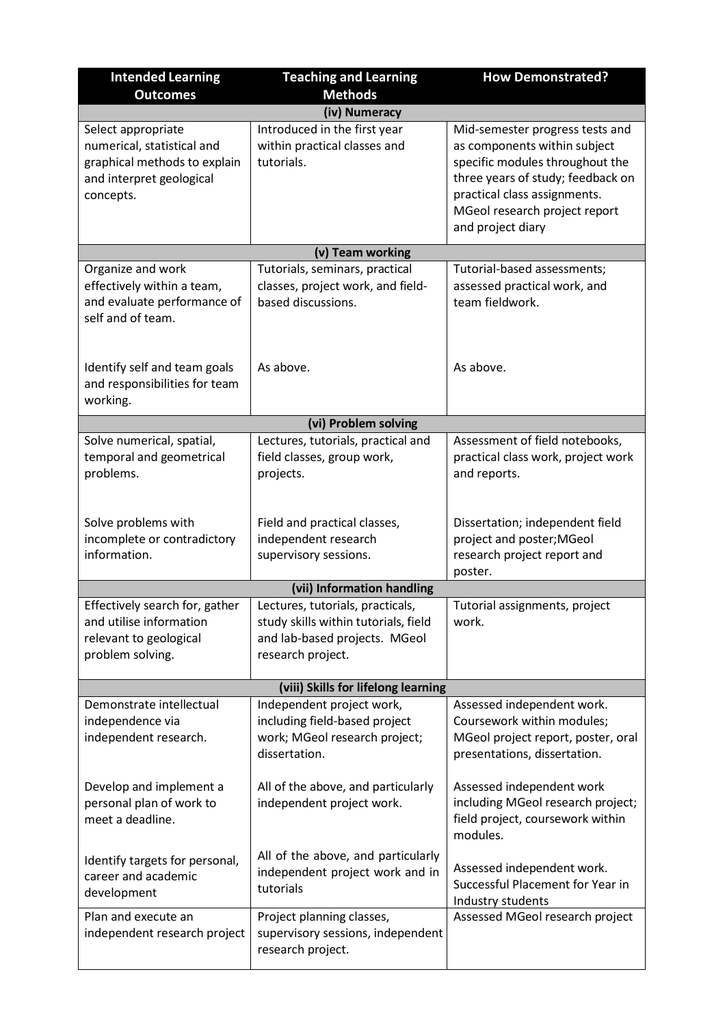| <b>Intended Learning</b>                                                                                                  | <b>Teaching and Learning</b>                                                                                                   | <b>How Demonstrated?</b>                                                                                                                                                                                                      |
|---------------------------------------------------------------------------------------------------------------------------|--------------------------------------------------------------------------------------------------------------------------------|-------------------------------------------------------------------------------------------------------------------------------------------------------------------------------------------------------------------------------|
| <b>Outcomes</b>                                                                                                           | <b>Methods</b>                                                                                                                 |                                                                                                                                                                                                                               |
| (iv) Numeracy                                                                                                             |                                                                                                                                |                                                                                                                                                                                                                               |
| Select appropriate<br>numerical, statistical and<br>graphical methods to explain<br>and interpret geological<br>concepts. | Introduced in the first year<br>within practical classes and<br>tutorials.                                                     | Mid-semester progress tests and<br>as components within subject<br>specific modules throughout the<br>three years of study; feedback on<br>practical class assignments.<br>MGeol research project report<br>and project diary |
|                                                                                                                           | (v) Team working                                                                                                               |                                                                                                                                                                                                                               |
| Organize and work<br>effectively within a team,<br>and evaluate performance of<br>self and of team.                       | Tutorials, seminars, practical<br>classes, project work, and field-<br>based discussions.                                      | Tutorial-based assessments;<br>assessed practical work, and<br>team fieldwork.                                                                                                                                                |
| Identify self and team goals<br>and responsibilities for team<br>working.                                                 | As above.                                                                                                                      | As above.                                                                                                                                                                                                                     |
|                                                                                                                           | (vi) Problem solving                                                                                                           |                                                                                                                                                                                                                               |
| Solve numerical, spatial,<br>temporal and geometrical<br>problems.                                                        | Lectures, tutorials, practical and<br>field classes, group work,<br>projects.                                                  | Assessment of field notebooks,<br>practical class work, project work<br>and reports.                                                                                                                                          |
| Solve problems with<br>incomplete or contradictory<br>information.                                                        | Field and practical classes,<br>independent research<br>supervisory sessions.                                                  | Dissertation; independent field<br>project and poster; MGeol<br>research project report and<br>poster.                                                                                                                        |
|                                                                                                                           | (vii) Information handling                                                                                                     |                                                                                                                                                                                                                               |
| Effectively search for, gather<br>and utilise information<br>relevant to geological<br>problem solving.                   | Lectures, tutorials, practicals,<br>study skills within tutorials, field<br>and lab-based projects. MGeol<br>research project. | Tutorial assignments, project<br>work.                                                                                                                                                                                        |
|                                                                                                                           | (viii) Skills for lifelong learning                                                                                            |                                                                                                                                                                                                                               |
| Demonstrate intellectual<br>independence via<br>independent research.                                                     | Independent project work,<br>including field-based project<br>work; MGeol research project;<br>dissertation.                   | Assessed independent work.<br>Coursework within modules;<br>MGeol project report, poster, oral<br>presentations, dissertation.                                                                                                |
| Develop and implement a<br>personal plan of work to<br>meet a deadline.                                                   | All of the above, and particularly<br>independent project work.                                                                | Assessed independent work<br>including MGeol research project;<br>field project, coursework within<br>modules.                                                                                                                |
| Identify targets for personal,<br>career and academic<br>development                                                      | All of the above, and particularly<br>independent project work and in<br>tutorials                                             | Assessed independent work.<br>Successful Placement for Year in<br>Industry students                                                                                                                                           |
| Plan and execute an<br>independent research project                                                                       | Project planning classes,<br>supervisory sessions, independent<br>research project.                                            | Assessed MGeol research project                                                                                                                                                                                               |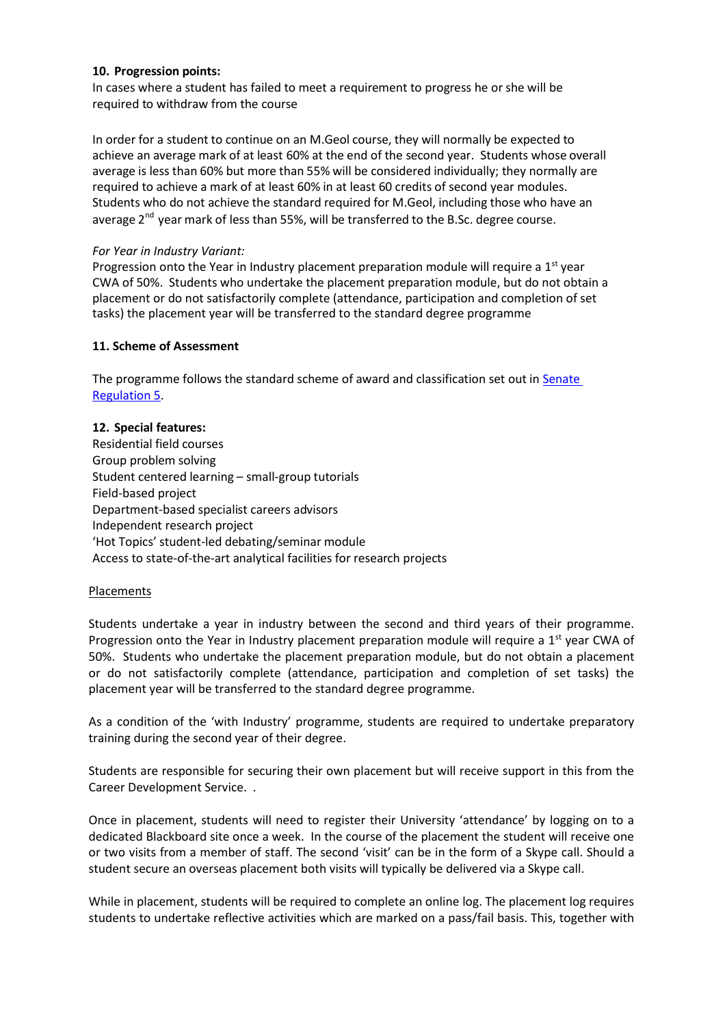#### **10. Progression points:**

In cases where a student has failed to meet a requirement to progress he or she will be required to withdraw from the course

In order for a student to continue on an M.Geol course, they will normally be expected to achieve an average mark of at least 60% at the end of the second year. Students whose overall average is less than 60% but more than 55% will be considered individually; they normally are required to achieve a mark of at least 60% in at least 60 credits of second year modules. Students who do not achieve the standard required for M.Geol, including those who have an average 2<sup>nd</sup> year mark of less than 55%, will be transferred to the B.Sc. degree course.

#### *For Year in Industry Variant:*

Progression onto the Year in Industry placement preparation module will require a  $1<sup>st</sup>$  year CWA of 50%. Students who undertake the placement preparation module, but do not obtain a placement or do not satisfactorily complete (attendance, participation and completion of set tasks) the placement year will be transferred to the standard degree programme

### **11. Scheme of Assessment**

The programme follows the standard scheme of award and classification set out in [Senate](http://www2.le.ac.uk/offices/sas2/regulations/general-regulations-for-taught-programmes) [Regulation](http://www2.le.ac.uk/offices/sas2/regulations/general-regulations-for-taught-programmes) 5.

### **12. Special features:**

Residential field courses Group problem solving Student centered learning – small-group tutorials Field-based project Department-based specialist careers advisors Independent research project 'Hot Topics' student-led debating/seminar module Access to state-of-the-art analytical facilities for research projects

## Placements

Students undertake a year in industry between the second and third years of their programme. Progression onto the Year in Industry placement preparation module will require a  $1<sup>st</sup>$  year CWA of 50%. Students who undertake the placement preparation module, but do not obtain a placement or do not satisfactorily complete (attendance, participation and completion of set tasks) the placement year will be transferred to the standard degree programme.

As a condition of the 'with Industry' programme, students are required to undertake preparatory training during the second year of their degree.

Students are responsible for securing their own placement but will receive support in this from the Career Development Service. .

Once in placement, students will need to register their University 'attendance' by logging on to a dedicated Blackboard site once a week. In the course of the placement the student will receive one or two visits from a member of staff. The second 'visit' can be in the form of a Skype call. Should a student secure an overseas placement both visits will typically be delivered via a Skype call.

While in placement, students will be required to complete an online log. The placement log requires students to undertake reflective activities which are marked on a pass/fail basis. This, together with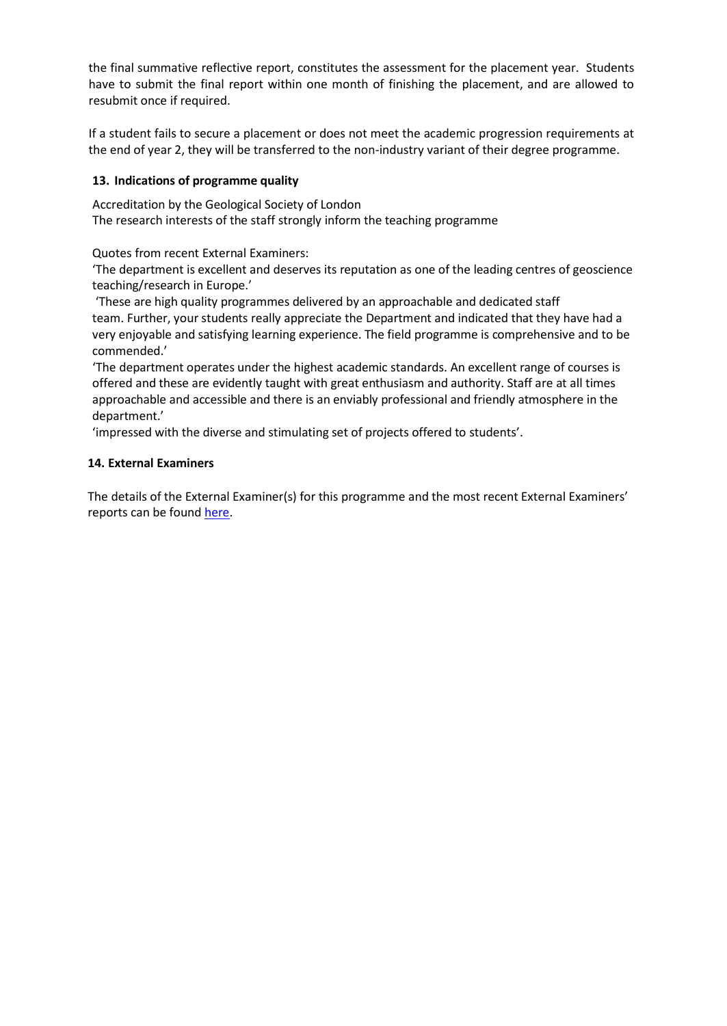the final summative reflective report, constitutes the assessment for the placement year. Students have to submit the final report within one month of finishing the placement, and are allowed to resubmit once if required.

If a student fails to secure a placement or does not meet the academic progression requirements at the end of year 2, they will be transferred to the non-industry variant of their degree programme.

## **13. Indications of programme quality**

Accreditation by the Geological Society of London The research interests of the staff strongly inform the teaching programme

Quotes from recent External Examiners:

'The department is excellent and deserves its reputation as one of the leading centres of geoscience teaching/research in Europe.'

'These are high quality programmes delivered by an approachable and dedicated staff team. Further, your students really appreciate the Department and indicated that they have had a very enjoyable and satisfying learning experience. The field programme is comprehensive and to be commended.'

'The department operates under the highest academic standards. An excellent range of courses is offered and these are evidently taught with great enthusiasm and authority. Staff are at all times approachable and accessible and there is an enviably professional and friendly atmosphere in the department.'

'impressed with the diverse and stimulating set of projects offered to students'.

### **14. External Examiners**

The details of the External Examiner(s) for this programme and the most recent External Examiners' reports can be found [here.](https://exampapers.le.ac.uk/xmlui/handle/123456789/189)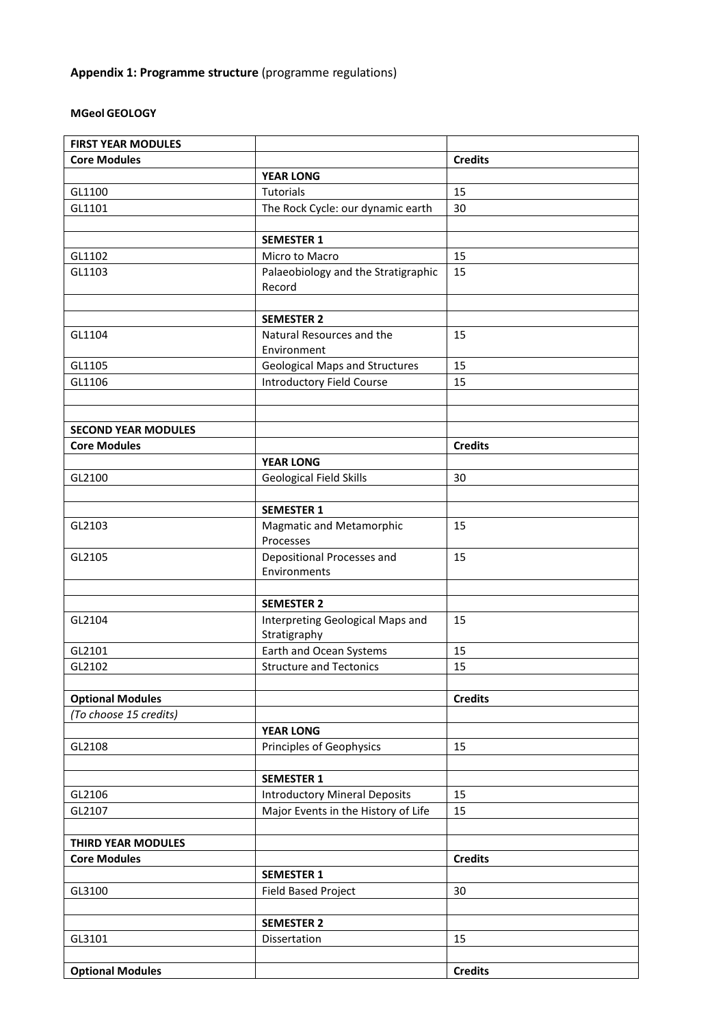# **Appendix 1: Programme structure** (programme regulations)

### **MGeol GEOLOGY**

| <b>FIRST YEAR MODULES</b>  |                                       |                |
|----------------------------|---------------------------------------|----------------|
| <b>Core Modules</b>        |                                       | <b>Credits</b> |
|                            | <b>YEAR LONG</b>                      |                |
| GL1100                     | Tutorials                             | 15             |
| GL1101                     | The Rock Cycle: our dynamic earth     | 30             |
|                            |                                       |                |
|                            | <b>SEMESTER 1</b>                     |                |
| GL1102                     | Micro to Macro                        | 15             |
| GL1103                     | Palaeobiology and the Stratigraphic   | 15             |
|                            | Record                                |                |
|                            |                                       |                |
|                            | <b>SEMESTER 2</b>                     |                |
|                            |                                       |                |
| GL1104                     | Natural Resources and the             | 15             |
|                            | Environment                           |                |
| GL1105                     | <b>Geological Maps and Structures</b> | 15             |
| GL1106                     | <b>Introductory Field Course</b>      | 15             |
|                            |                                       |                |
|                            |                                       |                |
| <b>SECOND YEAR MODULES</b> |                                       |                |
| <b>Core Modules</b>        |                                       | <b>Credits</b> |
|                            | <b>YEAR LONG</b>                      |                |
| GL2100                     | <b>Geological Field Skills</b>        | 30             |
|                            |                                       |                |
|                            | <b>SEMESTER 1</b>                     |                |
| GL2103                     | Magmatic and Metamorphic              | 15             |
|                            | Processes                             |                |
| GL2105                     | Depositional Processes and            | 15             |
|                            | Environments                          |                |
|                            |                                       |                |
|                            | <b>SEMESTER 2</b>                     |                |
| GL2104                     | Interpreting Geological Maps and      | 15             |
|                            | Stratigraphy                          |                |
| GL2101                     | Earth and Ocean Systems               | 15             |
| GL2102                     | <b>Structure and Tectonics</b>        | 15             |
|                            |                                       |                |
| <b>Optional Modules</b>    |                                       | <b>Credits</b> |
| (To choose 15 credits)     |                                       |                |
|                            | <b>YEAR LONG</b>                      |                |
|                            |                                       |                |
| GL2108                     | Principles of Geophysics              | 15             |
|                            |                                       |                |
|                            | <b>SEMESTER 1</b>                     |                |
| GL2106                     | <b>Introductory Mineral Deposits</b>  | 15             |
| GL2107                     | Major Events in the History of Life   | 15             |
|                            |                                       |                |
| THIRD YEAR MODULES         |                                       |                |
| <b>Core Modules</b>        |                                       | <b>Credits</b> |
|                            | <b>SEMESTER 1</b>                     |                |
| GL3100                     | Field Based Project                   | 30             |
|                            |                                       |                |
|                            | <b>SEMESTER 2</b>                     |                |
| GL3101                     | Dissertation                          | 15             |
|                            |                                       |                |
| <b>Optional Modules</b>    |                                       | <b>Credits</b> |
|                            |                                       |                |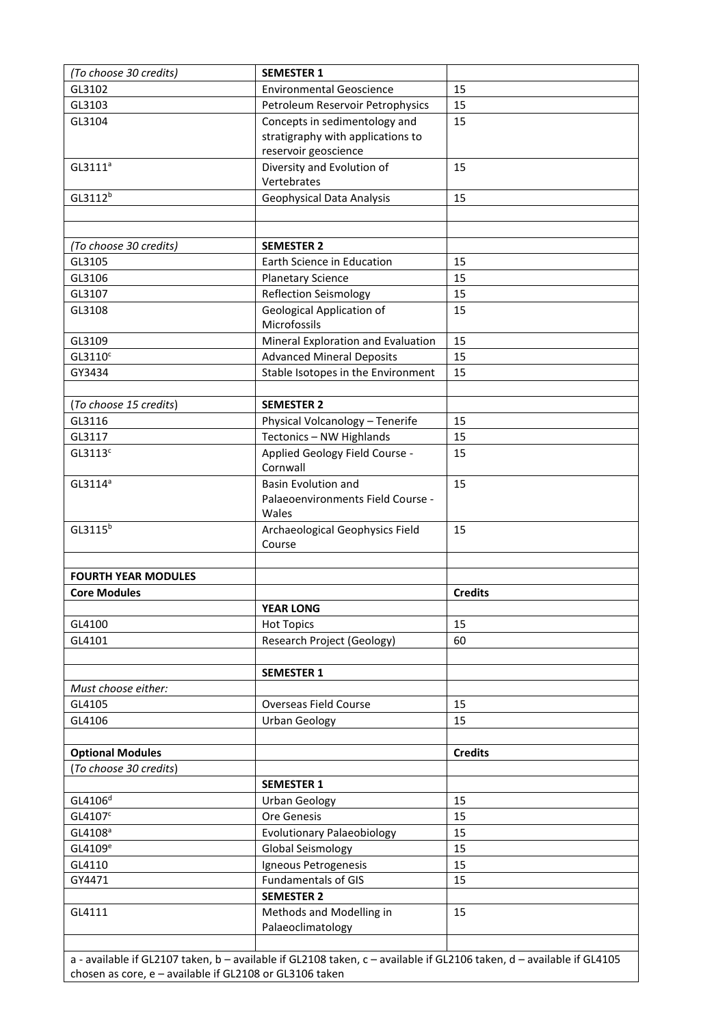| (To choose 30 credits)     | <b>SEMESTER 1</b>                  |                |
|----------------------------|------------------------------------|----------------|
| GL3102                     | <b>Environmental Geoscience</b>    | 15             |
| GL3103                     | Petroleum Reservoir Petrophysics   | 15             |
| GL3104                     | Concepts in sedimentology and      | 15             |
|                            | stratigraphy with applications to  |                |
|                            | reservoir geoscience               |                |
| GL3111 <sup>a</sup>        | Diversity and Evolution of         | 15             |
|                            | Vertebrates                        |                |
| GL3112 <sup>b</sup>        | Geophysical Data Analysis          | 15             |
|                            |                                    |                |
|                            |                                    |                |
| (To choose 30 credits)     | <b>SEMESTER 2</b>                  |                |
| GL3105                     | Earth Science in Education         | 15             |
| GL3106                     | <b>Planetary Science</b>           | 15             |
| GL3107                     | <b>Reflection Seismology</b>       | 15             |
| GL3108                     | <b>Geological Application of</b>   | 15             |
|                            | Microfossils                       |                |
| GL3109                     | Mineral Exploration and Evaluation | 15             |
| GL3110 <sup>c</sup>        | <b>Advanced Mineral Deposits</b>   | 15             |
| GY3434                     | Stable Isotopes in the Environment | 15             |
|                            |                                    |                |
| (To choose 15 credits)     | <b>SEMESTER 2</b>                  |                |
| GL3116                     | Physical Volcanology - Tenerife    | 15             |
| GL3117                     | Tectonics - NW Highlands           | 15             |
| GL3113 <sup>c</sup>        | Applied Geology Field Course -     | 15             |
|                            | Cornwall                           |                |
| GL3114 <sup>a</sup>        | <b>Basin Evolution and</b>         | 15             |
|                            | Palaeoenvironments Field Course -  |                |
|                            | Wales                              |                |
| GL3115 <sup>b</sup>        | Archaeological Geophysics Field    | 15             |
|                            | Course                             |                |
|                            |                                    |                |
| <b>FOURTH YEAR MODULES</b> |                                    |                |
| <b>Core Modules</b>        |                                    | <b>Credits</b> |
|                            | <b>YEAR LONG</b>                   |                |
| GL4100                     | <b>Hot Topics</b>                  | 15             |
| GL4101                     | <b>Research Project (Geology)</b>  | 60             |
|                            |                                    |                |
|                            | <b>SEMESTER 1</b>                  |                |
| Must choose either:        |                                    |                |
| GL4105                     | <b>Overseas Field Course</b>       | 15             |
| GL4106                     | <b>Urban Geology</b>               | 15             |
|                            |                                    |                |
| <b>Optional Modules</b>    |                                    | <b>Credits</b> |
| (To choose 30 credits)     |                                    |                |
|                            | <b>SEMESTER 1</b>                  |                |
| GL4106 <sup>d</sup>        | <b>Urban Geology</b>               | 15             |
| GL4107 <sup>c</sup>        | Ore Genesis                        | 15             |
| GL4108 <sup>a</sup>        | <b>Evolutionary Palaeobiology</b>  | 15             |
| GL4109 <sup>e</sup>        | Global Seismology                  | 15             |
| GL4110                     | Igneous Petrogenesis               | 15             |
| GY4471                     | <b>Fundamentals of GIS</b>         | 15             |
|                            | <b>SEMESTER 2</b>                  |                |
| GL4111                     | Methods and Modelling in           | 15             |
|                            | Palaeoclimatology                  |                |
|                            |                                    |                |

a - available if GL2107 taken, b – available if GL2108 taken, c – available if GL2106 taken, d – available if GL4105 chosen as core, e – available if GL2108 or GL3106 taken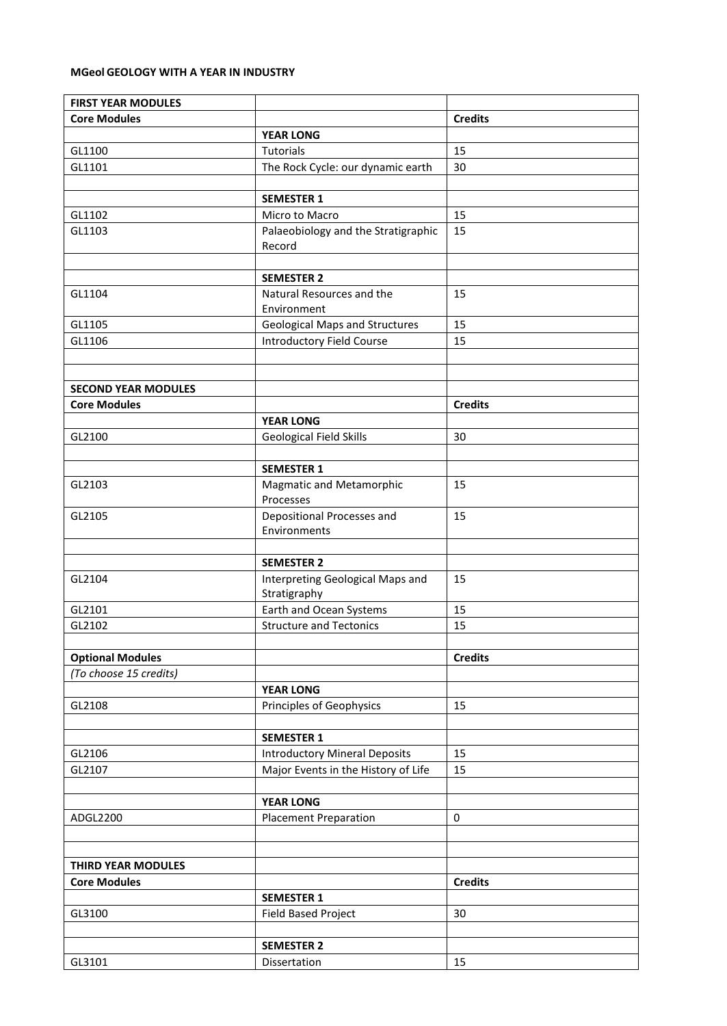#### **MGeol GEOLOGY WITH A YEAR IN INDUSTRY**

| <b>FIRST YEAR MODULES</b>  |                                       |                |
|----------------------------|---------------------------------------|----------------|
| <b>Core Modules</b>        |                                       | <b>Credits</b> |
|                            | <b>YEAR LONG</b>                      |                |
| GL1100                     | Tutorials                             | 15             |
| GL1101                     | The Rock Cycle: our dynamic earth     | 30             |
|                            |                                       |                |
|                            | <b>SEMESTER 1</b>                     |                |
| GL1102                     | Micro to Macro                        | 15             |
| GL1103                     | Palaeobiology and the Stratigraphic   | 15             |
|                            | Record                                |                |
|                            |                                       |                |
|                            | <b>SEMESTER 2</b>                     |                |
| GL1104                     | Natural Resources and the             | 15             |
|                            | Environment                           |                |
| GL1105                     | <b>Geological Maps and Structures</b> | 15             |
| GL1106                     | <b>Introductory Field Course</b>      | 15             |
|                            |                                       |                |
|                            |                                       |                |
| <b>SECOND YEAR MODULES</b> |                                       |                |
| <b>Core Modules</b>        |                                       | <b>Credits</b> |
|                            | <b>YEAR LONG</b>                      |                |
| GL2100                     | <b>Geological Field Skills</b>        | 30             |
|                            |                                       |                |
|                            | <b>SEMESTER 1</b>                     |                |
| GL2103                     | Magmatic and Metamorphic              | 15             |
|                            | Processes                             |                |
| GL2105                     | Depositional Processes and            | 15             |
|                            | Environments                          |                |
|                            |                                       |                |
|                            | <b>SEMESTER 2</b>                     |                |
| GL2104                     | Interpreting Geological Maps and      | 15             |
|                            | Stratigraphy                          |                |
| GL2101                     | Earth and Ocean Systems               | 15             |
| GL2102                     | <b>Structure and Tectonics</b>        | 15             |
|                            |                                       |                |
| <b>Optional Modules</b>    |                                       | <b>Credits</b> |
| (To choose 15 credits)     |                                       |                |
|                            | <b>YEAR LONG</b>                      |                |
| GL2108                     | Principles of Geophysics              | 15             |
|                            |                                       |                |
|                            | <b>SEMESTER 1</b>                     |                |
| GL2106                     | <b>Introductory Mineral Deposits</b>  | 15             |
| GL2107                     | Major Events in the History of Life   | 15             |
|                            |                                       |                |
|                            | <b>YEAR LONG</b>                      |                |
| ADGL2200                   | <b>Placement Preparation</b>          | $\pmb{0}$      |
|                            |                                       |                |
|                            |                                       |                |
| THIRD YEAR MODULES         |                                       |                |
| <b>Core Modules</b>        |                                       | <b>Credits</b> |
|                            | <b>SEMESTER 1</b>                     |                |
| GL3100                     | Field Based Project                   | 30             |
|                            |                                       |                |
|                            | <b>SEMESTER 2</b>                     |                |
| GL3101                     | Dissertation                          | 15             |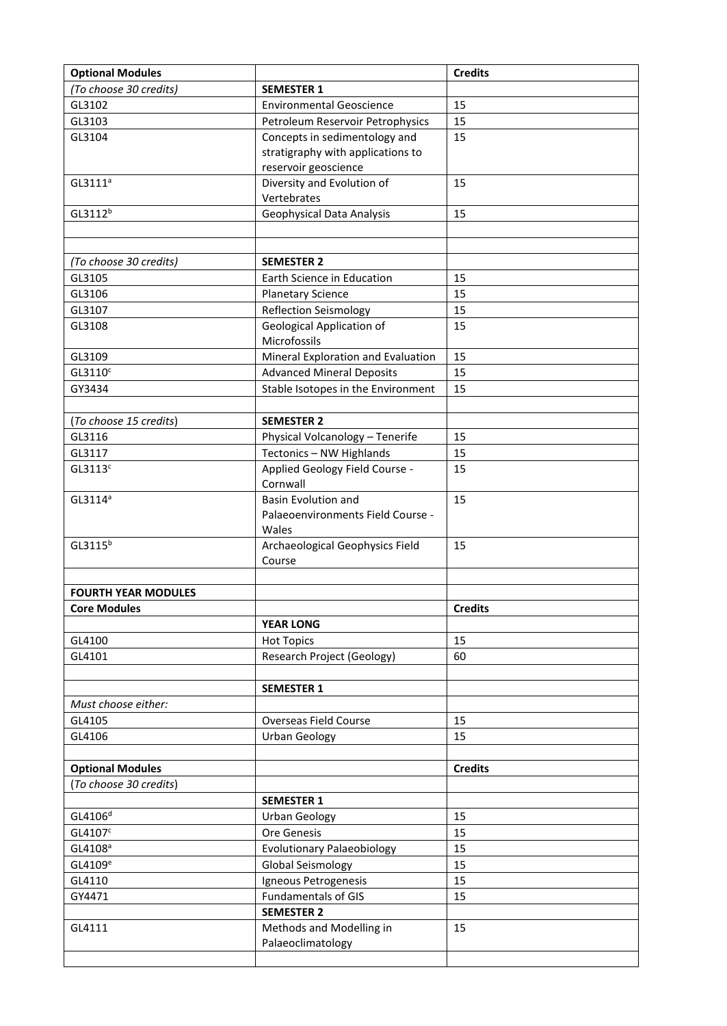| <b>Optional Modules</b>    |                                    | <b>Credits</b> |
|----------------------------|------------------------------------|----------------|
| (To choose 30 credits)     | <b>SEMESTER 1</b>                  |                |
| GL3102                     | <b>Environmental Geoscience</b>    | 15             |
| GL3103                     | Petroleum Reservoir Petrophysics   | 15             |
| GL3104                     | Concepts in sedimentology and      | 15             |
|                            | stratigraphy with applications to  |                |
|                            | reservoir geoscience               |                |
| GL3111 <sup>a</sup>        | Diversity and Evolution of         | 15             |
|                            | Vertebrates                        |                |
| GL3112 <sup>b</sup>        | Geophysical Data Analysis          | 15             |
|                            |                                    |                |
|                            |                                    |                |
| (To choose 30 credits)     | <b>SEMESTER 2</b>                  |                |
| GL3105                     | Earth Science in Education         | 15             |
| GL3106                     | <b>Planetary Science</b>           | 15             |
| GL3107                     | <b>Reflection Seismology</b>       | 15             |
| GL3108                     | <b>Geological Application of</b>   | 15             |
|                            | Microfossils                       |                |
| GL3109                     | Mineral Exploration and Evaluation | 15             |
| GL3110 <sup>c</sup>        | <b>Advanced Mineral Deposits</b>   | 15             |
| GY3434                     | Stable Isotopes in the Environment | 15             |
|                            |                                    |                |
| (To choose 15 credits)     | <b>SEMESTER 2</b>                  |                |
| GL3116                     | Physical Volcanology - Tenerife    | 15             |
| GL3117                     | Tectonics - NW Highlands           | 15             |
| GL3113 <sup>c</sup>        | Applied Geology Field Course -     | 15             |
|                            | Cornwall                           |                |
| $GL3114^a$                 | <b>Basin Evolution and</b>         | 15             |
|                            | Palaeoenvironments Field Course -  |                |
|                            | Wales                              |                |
| GL3115 <sup>b</sup>        | Archaeological Geophysics Field    | 15             |
|                            | Course                             |                |
|                            |                                    |                |
| <b>FOURTH YEAR MODULES</b> |                                    |                |
| <b>Core Modules</b>        |                                    | <b>Credits</b> |
|                            | <b>YEAR LONG</b>                   |                |
| GL4100                     | <b>Hot Topics</b>                  | 15             |
| GL4101                     | Research Project (Geology)         | 60             |
|                            |                                    |                |
|                            | <b>SEMESTER 1</b>                  |                |
| Must choose either:        |                                    |                |
| GL4105                     | Overseas Field Course              | 15             |
| GL4106                     | <b>Urban Geology</b>               | 15             |
|                            |                                    |                |
| <b>Optional Modules</b>    |                                    | <b>Credits</b> |
| (To choose 30 credits)     |                                    |                |
|                            | <b>SEMESTER 1</b>                  |                |
| GL4106 <sup>d</sup>        | <b>Urban Geology</b>               | 15             |
| GL4107 <sup>c</sup>        | Ore Genesis                        | 15             |
| GL4108 <sup>a</sup>        | <b>Evolutionary Palaeobiology</b>  | 15             |
| GL4109 <sup>e</sup>        | <b>Global Seismology</b>           | 15             |
| GL4110                     | Igneous Petrogenesis               | 15             |
| GY4471                     | <b>Fundamentals of GIS</b>         | 15             |
|                            | <b>SEMESTER 2</b>                  |                |
| GL4111                     | Methods and Modelling in           | 15             |
|                            | Palaeoclimatology                  |                |
|                            |                                    |                |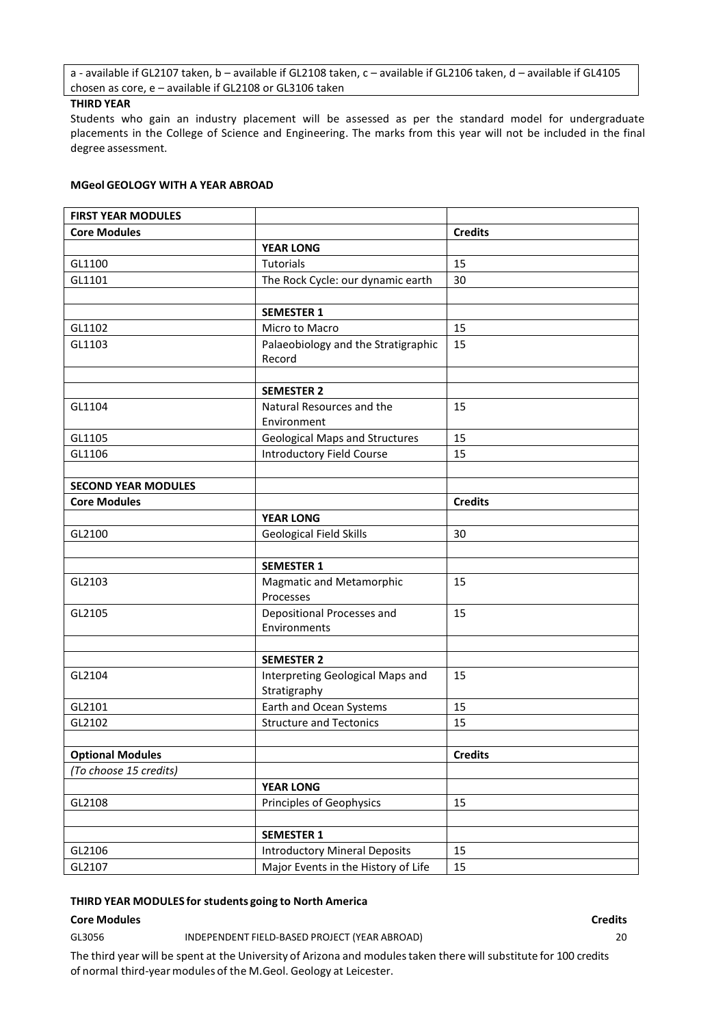a - available if GL2107 taken, b – available if GL2108 taken, c – available if GL2106 taken, d – available if GL4105 chosen as core, e – available if GL2108 or GL3106 taken

#### **THIRD YEAR**

Students who gain an industry placement will be assessed as per the standard model for undergraduate placements in the College of Science and Engineering. The marks from this year will not be included in the final degree assessment.

#### **MGeol GEOLOGY WITH A YEAR ABROAD**

| <b>FIRST YEAR MODULES</b>  |                                                  |                |
|----------------------------|--------------------------------------------------|----------------|
| <b>Core Modules</b>        |                                                  | <b>Credits</b> |
|                            | <b>YEAR LONG</b>                                 |                |
| GL1100                     | Tutorials                                        | 15             |
| GL1101                     | The Rock Cycle: our dynamic earth                | 30             |
|                            |                                                  |                |
|                            | <b>SEMESTER 1</b>                                |                |
| GL1102                     | Micro to Macro                                   | 15             |
| GL1103                     | Palaeobiology and the Stratigraphic<br>Record    | 15             |
|                            |                                                  |                |
|                            | <b>SEMESTER 2</b>                                |                |
| GL1104                     | Natural Resources and the<br>Environment         | 15             |
| GL1105                     | <b>Geological Maps and Structures</b>            | 15             |
| GL1106                     | <b>Introductory Field Course</b>                 | 15             |
|                            |                                                  |                |
| <b>SECOND YEAR MODULES</b> |                                                  |                |
| <b>Core Modules</b>        |                                                  | <b>Credits</b> |
|                            | <b>YEAR LONG</b>                                 |                |
| GL2100                     | Geological Field Skills                          | 30             |
|                            |                                                  |                |
|                            | <b>SEMESTER 1</b>                                |                |
| GL2103                     | <b>Magmatic and Metamorphic</b><br>Processes     | 15             |
| GL2105                     | Depositional Processes and<br>Environments       | 15             |
|                            |                                                  |                |
|                            | <b>SEMESTER 2</b>                                |                |
| GL2104                     | Interpreting Geological Maps and<br>Stratigraphy | 15             |
| GL2101                     | Earth and Ocean Systems                          | 15             |
| GL2102                     | <b>Structure and Tectonics</b>                   | 15             |
|                            |                                                  |                |
| <b>Optional Modules</b>    |                                                  | <b>Credits</b> |
| (To choose 15 credits)     |                                                  |                |
|                            | <b>YEAR LONG</b>                                 |                |
| GL2108                     | Principles of Geophysics                         | 15             |
|                            |                                                  |                |
|                            | <b>SEMESTER 1</b>                                |                |
| GL2106                     | <b>Introductory Mineral Deposits</b>             | 15             |
| GL2107                     | Major Events in the History of Life              | 15             |

#### **THIRD YEAR MODULES for students going to North America**

#### **Core Modules Credits**

GL3056 INDEPENDENT FIELD-BASED PROJECT (YEAR ABROAD) 20

The third year will be spent at the University of Arizona and modulestaken there will substitute for 100 credits of normal third-year modules of the M.Geol. Geology at Leicester.